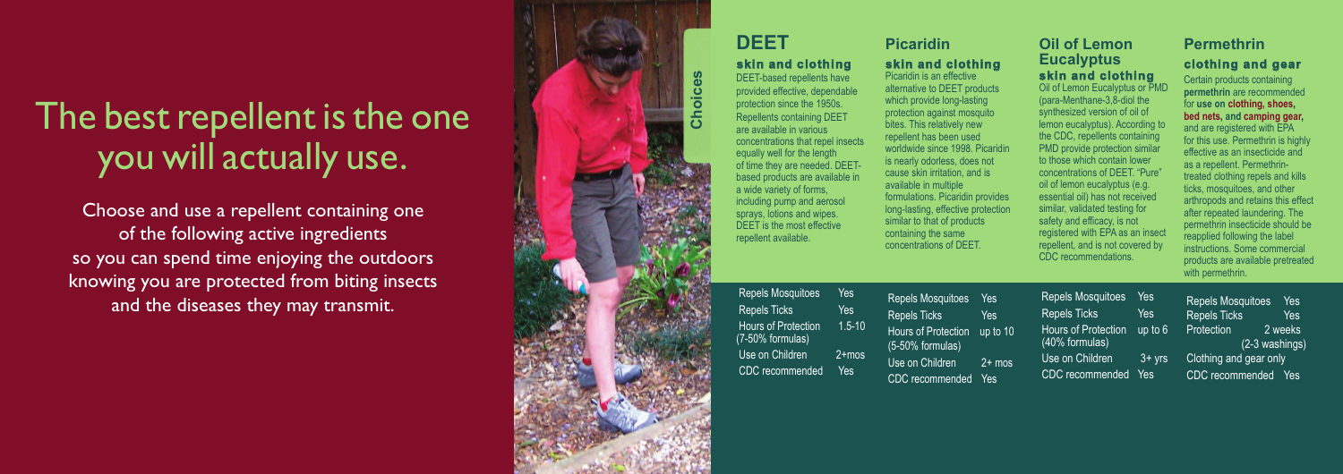# The best repellent is the one you will actually use.

Choose and use a repellent containing one of the following active ingredients so you can spend time enjoying the outdoors knowing you are protected from biting insects and the diseases they may transmit.

DEET-based repellents have l l provided effective, dependable i i l protection since the 1950s. i i Repellents containing DEET l l i i are available in various i l l i i concentrations that repel insects i l i equally well for the length l l l l l of time they are needed. DEETi based products are available in a wide variety of forms, including pump and aerosol sprays, lotions and wipes. DEET is the most effective repellent available.

Repels Mosquitoes Yes Repels Ticks Yes Hours of Protection 1.5-10 (7-50% formulas) Use on Children 2+mos CDC recommended Yes Repels Mosquitoes l Repels Ticks l Hours of Protection u (5-50% formulas) Use on Children CDC recommended

| <b>Picaridin</b>                                                                                                                                                                                                                                                                                                                                                                                                                                                                             |                                           | <b>Oil of Lemon</b>                                                                                                                                                                                                                                                                                                                                                                                                                                                                                                                                    |                                           | <b>Permethrin</b>                                                                                                                                                                                                                                                                                                                                                                                                                                                                                                                                                                               |
|----------------------------------------------------------------------------------------------------------------------------------------------------------------------------------------------------------------------------------------------------------------------------------------------------------------------------------------------------------------------------------------------------------------------------------------------------------------------------------------------|-------------------------------------------|--------------------------------------------------------------------------------------------------------------------------------------------------------------------------------------------------------------------------------------------------------------------------------------------------------------------------------------------------------------------------------------------------------------------------------------------------------------------------------------------------------------------------------------------------------|-------------------------------------------|-------------------------------------------------------------------------------------------------------------------------------------------------------------------------------------------------------------------------------------------------------------------------------------------------------------------------------------------------------------------------------------------------------------------------------------------------------------------------------------------------------------------------------------------------------------------------------------------------|
| skin and clothing<br>Picaridin is an effective<br>alternative to DEET products<br>which provide long-lasting<br>protection against mosquito<br>bites. This relatively new<br>repellent has been used<br>worldwide since 1998. Picaridin<br>is nearly odorless, does not<br>cause skin irritation, and is<br>available in multiple<br>formulations. Picaridin provides<br>long-lasting, effective protection<br>similar to that of products<br>containing the same<br>concentrations of DEET. |                                           | <b>Eucalyptus</b><br>skin and clothing<br>Oil of Lemon Eucalyptus or PMD<br>(para-Menthane-3,8-diol the<br>synthesized version of oil of<br>lemon eucalyptus). According to<br>the CDC, repellents containing<br>PMD provide protection similar<br>to those which contain lower<br>concentrations of DEET. "Pure"<br>oil of lemon eucalyptus (e.g.<br>essential oil) has not received<br>similar, validated testing for<br>safety and efficacy, is not<br>registered with EPA as an insect<br>repellent, and is not covered by<br>CDC recommendations. |                                           | clothing and gear<br>Certain products containing<br>permethrin are recommended<br>for use on clothing, shoes,<br>bed nets, and camping gear,<br>and are registered with EPA<br>for this use. Permethrin is highly<br>effective as an insecticide and<br>as a repellent. Permethrin-<br>treated clothing repels and kills<br>ticks, mosquitoes, and other<br>arthropods and retains this effect<br>after repeated laundering. The<br>permethrin insecticide should be<br>reapplied following the label<br>instructions. Some commercial<br>products are available pretreated<br>with permethrin. |
| <b>Repels Mosquitoes</b><br><b>Repels Ticks</b><br><b>Hours of Protection</b><br>(5-50% formulas)<br>Use on Children                                                                                                                                                                                                                                                                                                                                                                         | Yes<br><b>Yes</b><br>up to 10<br>$2+$ mos | <b>Repels Mosquitoes</b><br><b>Repels Ticks</b><br><b>Hours of Protection</b><br>(40% formulas)<br>Use on Children                                                                                                                                                                                                                                                                                                                                                                                                                                     | Yes<br><b>Yes</b><br>up to 6<br>$3 + yrs$ | <b>Repels Mosquitoes</b><br>Yes<br>Repels Ticks<br><b>Yes</b><br>Protection<br>2 weeks<br>$(2-3$ washings)<br>Clothing and gear only                                                                                                                                                                                                                                                                                                                                                                                                                                                            |
| <b>CDC</b> recommended                                                                                                                                                                                                                                                                                                                                                                                                                                                                       | Yes                                       | CDC recommended                                                                                                                                                                                                                                                                                                                                                                                                                                                                                                                                        | Yes                                       | CDC recommended Yes                                                                                                                                                                                                                                                                                                                                                                                                                                                                                                                                                                             |



### DEET

#### skin and clothing